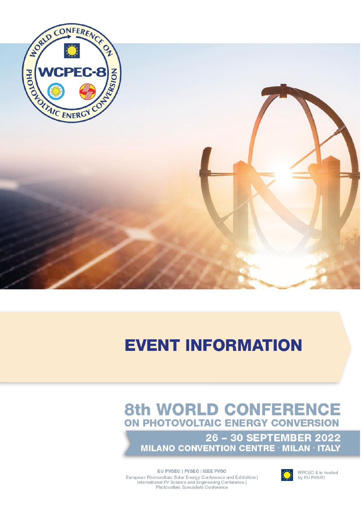

# **EVENT INFORMATION**

## **8th WORLD CONFERENCE** ON PHOTOVOLTAIC ENERGY CONVERSION

26 - 30 SEPTEMBER 2022 **MILANO CONVENTION CENTRE · MILAN · ITALY** 



WPCEC-8 is hosted<br>by EU PVSEC

EU PVSEC | PVSEC | IEEE PVSC European Photovoltaic Solar Energy Conference and Exhibition | International PV Science and Engineering Conference | Photovoltaic Specialists Conference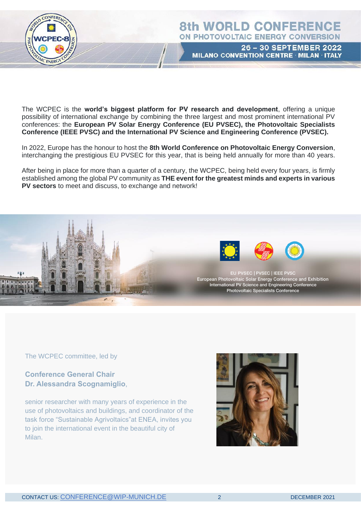

### **8th WORLD CONFERENCE** ON PHOTOVOLTAIC ENERGY CONVERSION

26 - 30 SEPTEMBER 2022 MILANO CONVENTION CENTRE MILAN ITALY

The WCPEC is the **world's biggest platform for PV research and development**, offering a unique possibility of international exchange by combining the three largest and most prominent international PV conferences: the **European PV Solar Energy Conference (EU PVSEC), the Photovoltaic Specialists Conference (IEEE PVSC) and the International PV Science and Engineering Conference (PVSEC).**

In 2022, Europe has the honour to host the **8th World Conference on Photovoltaic Energy Conversion**, interchanging the prestigious EU PVSEC for this year, that is being held annually for more than 40 years.

After being in place for more than a quarter of a century, the WCPEC, being held every four years, is firmly established among the global PV community as **THE event for the greatest minds and experts in various PV sectors** to meet and discuss, to exchange and network!



The WCPEC committee, led by

**Conference General Chair Dr. Alessandra Scognamiglio**,

senior researcher with many years of experience in the use of photovoltaics and buildings, and coordinator of the task force "Sustainable Agrivoltaics"at ENEA, invites you to join the international event in the beautiful city of Milan.

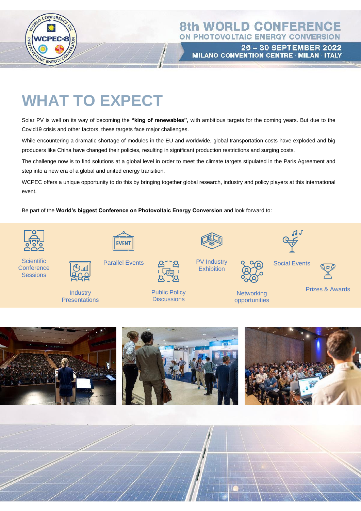

### **8th WORLD CONFERENCE** ON PHOTOVOLTAIC ENERGY CONVERSION

26 - 30 SEPTEMBER 2022 MILANO CONVENTION CENTRE · MILAN · ITALY

## **WHAT TO EXPECT**

Solar PV is well on its way of becoming the **"king of renewables",** with ambitious targets for the coming years. But due to the Covid19 crisis and other factors, these targets face major challenges.

While encountering a dramatic shortage of modules in the EU and worldwide, global transportation costs have exploded and big producers like China have changed their policies, resulting in significant production restrictions and surging costs.

The challenge now is to find solutions at a global level in order to meet the climate targets stipulated in the Paris Agreement and step into a new era of a global and united energy transition.

WCPEC offers a unique opportunity to do this by bringing together global research, industry and policy players at this international event.

Be part of the **World's biggest Conference on Photovoltaic Energy Conversion** and look forward to:



**Scientific Conference Sessions** 



Parallel Events



Public Policy **Discussions** 





**Networking** opportunities

|  | <b>Social Events</b> |
|--|----------------------|

 $G \nrightarrow G$ 



Prizes & Awards





**Industry Presentations** 



CONTACT US: CONFERENCE DE 3 DECEMBER 3 DECEMBER 3 DECEMBER 3 DECEMBER 3 DECEMBER 3 DECEMBER 3 DECEMBER 3 DECEMBER 3 DECEMBER 3 DECEMBER 3 DECEMBER 3 DECEMBER 3 DECEMBER 3 DECEMBER 3 DECEMBER 3 DECEMBER 3 DECEMBER 3 DECEMBE

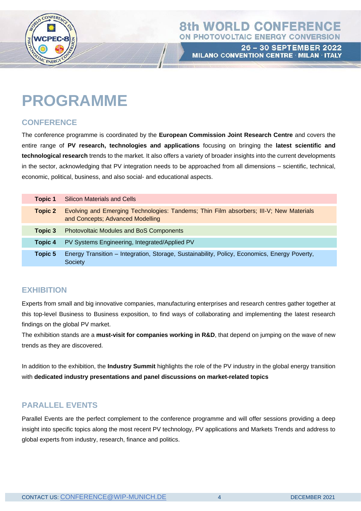

**26 - 30 SEPTEMBER 2022** MILANO CONVENTION CENTRE · MILAN · ITALY

## **PROGRAMME**

#### **CONFERENCE**

The conference programme is coordinated by the **European Commission Joint Research Centre** and covers the entire range of **PV research, technologies and applications** focusing on bringing the **latest scientific and technological research** trends to the market. It also offers a variety of broader insights into the current developments in the sector, acknowledging that PV integration needs to be approached from all dimensions – scientific, technical, economic, political, business, and also social- and educational aspects.

| <b>Topic 1</b> | <b>Silicon Materials and Cells</b>                                                                                         |
|----------------|----------------------------------------------------------------------------------------------------------------------------|
| Topic 2        | Evolving and Emerging Technologies: Tandems; Thin Film absorbers; III-V; New Materials<br>and Concepts; Advanced Modelling |
| Topic 3        | <b>Photovoltaic Modules and BoS Components</b>                                                                             |
| Topic 4        | PV Systems Engineering, Integrated/Applied PV                                                                              |
| Topic 5        | Energy Transition – Integration, Storage, Sustainability, Policy, Economics, Energy Poverty,<br>Society                    |

#### **EXHIBITION**

Experts from small and big innovative companies, manufacturing enterprises and research centres gather together at this top-level Business to Business exposition, to find ways of collaborating and implementing the latest research findings on the global PV market.

The exhibition stands are a **must-visit for companies working in R&D**, that depend on jumping on the wave of new trends as they are discovered.

In addition to the exhibition, the **Industry Summit** highlights the role of the PV industry in the global energy transition with **dedicated industry presentations and panel discussions on market-related topics**

#### **PARALLEL EVENTS**

Parallel Events are the perfect complement to the conference programme and will offer sessions providing a deep insight into specific topics along the most recent PV technology, PV applications and Markets Trends and address to global experts from industry, research, finance and politics.